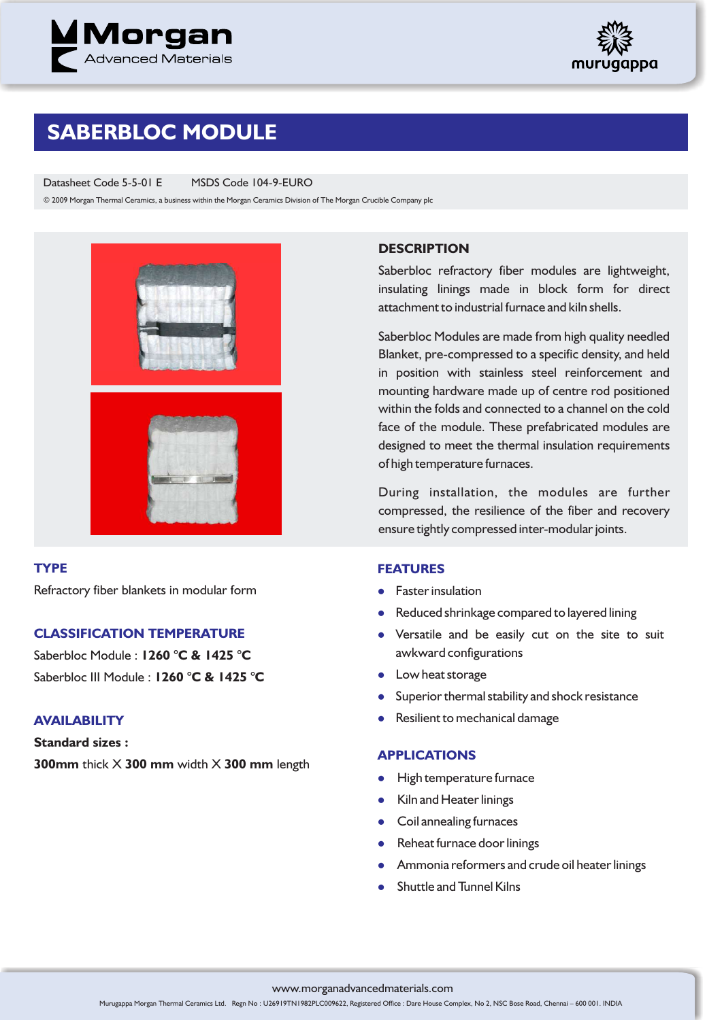



## **SABERBLOC MODULE**

Datasheet Code 5-5-01 E MSDS Code 104-9-EURO

© 2009 Morgan Thermal Ceramics, a business within the Morgan Ceramics Division of The Morgan Crucible Company plc



### **TYPE**

Refractory fiber blankets in modular form

### **CLASSIFICATION TEMPERATURE**

Saberbloc Module : **1260 °C & 1425 °C** Saberbloc III Module : **1260 °C & 1425 °C**

### **AVAILABILITY**

**Standard sizes : 300mm** thick X **300 mm** width X **300 mm** length

### **DESCRIPTION**

Saberbloc refractory fiber modules are lightweight, insulating linings made in block form for direct attachment to industrial furnace and kiln shells.

Saberbloc Modules are made from high quality needled Blanket, pre-compressed to a specific density, and held in position with stainless steel reinforcement and mounting hardware made up of centre rod positioned within the folds and connected to a channel on the cold face of the module. These prefabricated modules are designed to meet the thermal insulation requirements of high temperature furnaces.

During installation, the modules are further compressed, the resilience of the fiber and recovery ensure tightly compressed inter-modular joints.

### **FEATURES**

- **•** Faster insulation
- **•** Reduced shrinkage compared to layered lining
- Versatile and be easily cut on the site to suit awkward configurations
- Low heat storage
- **•** Superior thermal stability and shock resistance
- **•** Resilient to mechanical damage

### **APPLICATIONS**

- High temperature furnace
- Kiln and Heater linings
- **•** Coil annealing furnaces
- Reheat furnace door linings
- **•** Ammonia reformers and crude oil heater linings
- Shuttle and Tunnel Kilns

www.morganadvancedmaterials.com

Murugappa Morgan Thermal Ceramics Ltd. Regn No : U26919TN1982PLC009622, Registered Office : Dare House Complex, No 2, NSC Bose Road, Chennai – 600 001. INDIA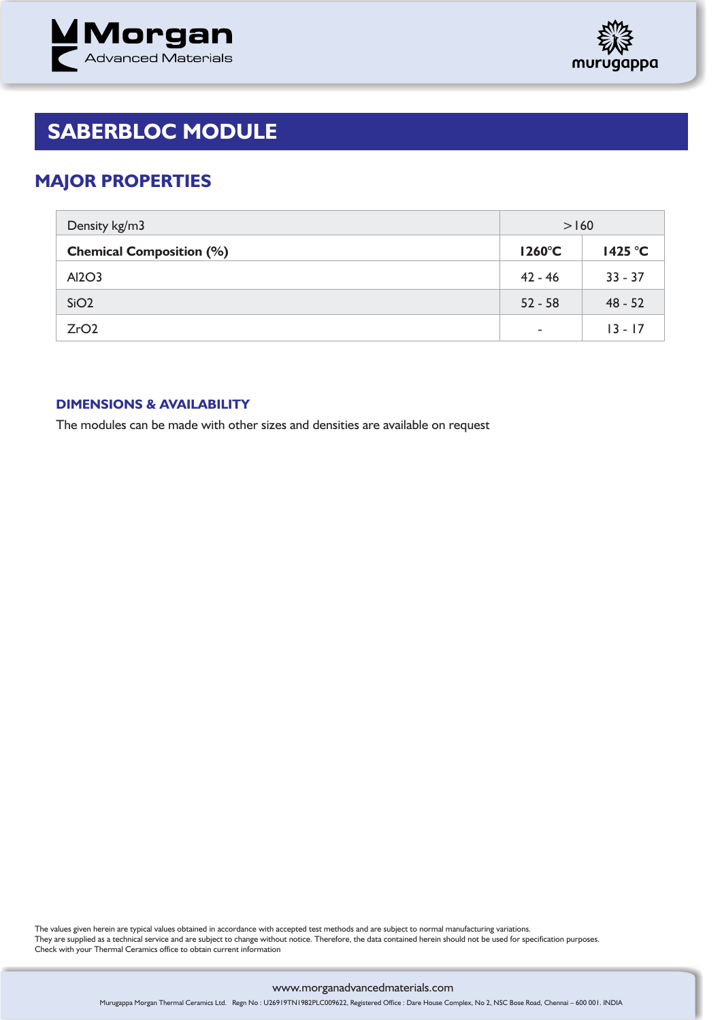



# **SABERBLOC MODULE**

### **MAJOR PROPERTIES**

| Density kg/m3                   | >160                     |           |
|---------------------------------|--------------------------|-----------|
| <b>Chemical Composition (%)</b> | $1260^{\circ}$ C         | 1425 °C   |
| AI2O3                           | $42 - 46$                | $33 - 37$ |
| SiO <sub>2</sub>                | $52 - 58$                | $48 - 52$ |
| ZrO2                            | $\overline{\phantom{a}}$ | $13 - 17$ |

### **DIMENSIONS & AVAILABILITY**

The modules can be made with other sizes and densities are available on request

The values given herein are typical values obtained in accordance with accepted test methods and are subject to normal manufacturing variations. They are supplied as a technical service and are subject to change without notice. Therefore, the data contained herein should not be used for specification purposes. Check with your Thermal Ceramics office to obtain current information

#### www.morganadvancedmaterials.com